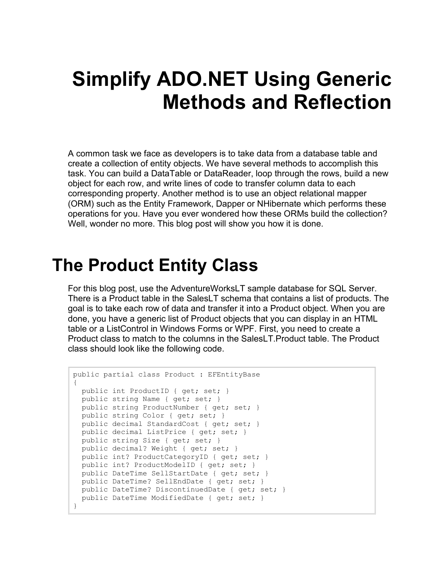# **Simplify ADO.NET Using Generic Methods and Reflection**

A common task we face as developers is to take data from a database table and create a collection of entity objects. We have several methods to accomplish this task. You can build a DataTable or DataReader, loop through the rows, build a new object for each row, and write lines of code to transfer column data to each corresponding property. Another method is to use an object relational mapper (ORM) such as the Entity Framework, Dapper or NHibernate which performs these operations for you. Have you ever wondered how these ORMs build the collection? Well, wonder no more. This blog post will show you how it is done.

### **The Product Entity Class**

For this blog post, use the AdventureWorksLT sample database for SQL Server. There is a Product table in the SalesLT schema that contains a list of products. The goal is to take each row of data and transfer it into a Product object. When you are done, you have a generic list of Product objects that you can display in an HTML table or a ListControl in Windows Forms or WPF. First, you need to create a Product class to match to the columns in the SalesLT.Product table. The Product class should look like the following code.

```
public partial class Product : EFEntityBase
{
  public int ProductID { get; set; }
 public string Name { get; set; }
  public string ProductNumber { get; set; }
  public string Color { get; set; }
  public decimal StandardCost { get; set; }
  public decimal ListPrice { get; set; }
  public string Size { get; set; }
  public decimal? Weight { get; set; }
 public int? ProductCategoryID { get; set; }
 public int? ProductModelID { get; set; }
  public DateTime SellStartDate { get; set; }
  public DateTime? SellEndDate { get; set; }
  public DateTime? DiscontinuedDate { get; set; }
 public DateTime ModifiedDate { get; set; }
}
```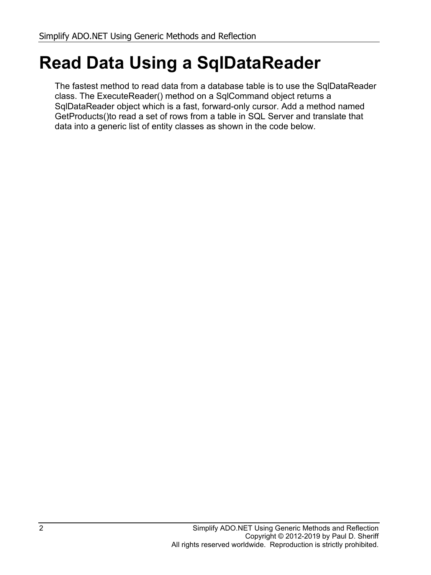## **Read Data Using a SqlDataReader**

The fastest method to read data from a database table is to use the SqlDataReader class. The ExecuteReader() method on a SqlCommand object returns a SqlDataReader object which is a fast, forward-only cursor. Add a method named GetProducts()to read a set of rows from a table in SQL Server and translate that data into a generic list of entity classes as shown in the code below.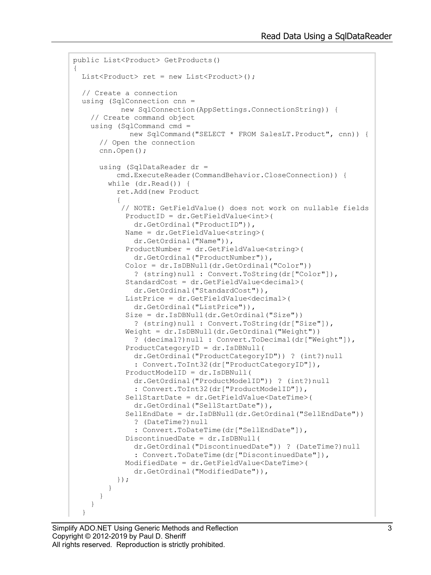```
public List<Product> GetProducts()
{
 List<Product> ret = new List<Product>();
   // Create a connection
  using (SqlConnection cnn = 
            new SqlConnection(AppSettings.ConnectionString)) {
     // Create command object
     using (SqlCommand cmd = 
              new SqlCommand("SELECT * FROM SalesLT.Product", cnn)) {
       // Open the connection
       cnn.Open();
       using (SqlDataReader dr =
           cmd.ExecuteReader(CommandBehavior.CloseConnection)) {
         while (dr.Read()) {
           ret.Add(new Product
{
            // NOTE: GetFieldValue() does not work on nullable fields
             ProductID = dr.GetFieldValue<int>(
              dr.GetOrdinal("ProductID")),
             Name = dr.GetFieldValue<string>(
               dr.GetOrdinal("Name")),
             ProductNumber = dr.GetFieldValue<string>(
              dr.GetOrdinal("ProductNumber")),
             Color = dr.IsDBNull(dr.GetOrdinal("Color")) 
               ? (string)null : Convert.ToString(dr["Color"]),
             StandardCost = dr.GetFieldValue<decimal>(
              dr.GetOrdinal("StandardCost")),
             ListPrice = dr.GetFieldValue<decimal>(
              dr.GetOrdinal("ListPrice")),
             Size = dr.IsDBNull(dr.GetOrdinal("Size")) 
               ? (string)null : Convert.ToString(dr["Size"]),
             Weight = dr.IsDBNull(dr.GetOrdinal("Weight"))
               ? (decimal?)null : Convert.ToDecimal(dr["Weight"]),
             ProductCategoryID = dr.IsDBNull(
               dr.GetOrdinal("ProductCategoryID")) ? (int?)null 
               : Convert.ToInt32(dr["ProductCategoryID"]),
             ProductModelID = dr.IsDBNull(
               dr.GetOrdinal("ProductModelID")) ? (int?)null
               : Convert.ToInt32(dr["ProductModelID"]),
             SellStartDate = dr.GetFieldValue<DateTime>(
              dr.GetOrdinal("SellStartDate")),
             SellEndDate = dr.IsDBNull(dr.GetOrdinal("SellEndDate"))
               ? (DateTime?)null 
               : Convert.ToDateTime(dr["SellEndDate"]),
             DiscontinuedDate = dr.IsDBNull(
               dr.GetOrdinal("DiscontinuedDate")) ? (DateTime?)null
               : Convert.ToDateTime(dr["DiscontinuedDate"]),
             ModifiedDate = dr.GetFieldValue<DateTime>(
              dr.GetOrdinal("ModifiedDate")),
           });
         }
       }
     }
   }
```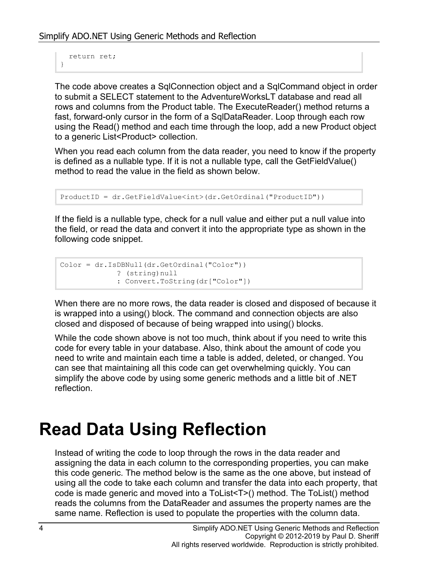```
 return ret;
}
```
The code above creates a SqlConnection object and a SqlCommand object in order to submit a SELECT statement to the AdventureWorksLT database and read all rows and columns from the Product table. The ExecuteReader() method returns a fast, forward-only cursor in the form of a SqlDataReader. Loop through each row using the Read() method and each time through the loop, add a new Product object to a generic List<Product> collection.

When you read each column from the data reader, you need to know if the property is defined as a nullable type. If it is not a nullable type, call the GetFieldValue() method to read the value in the field as shown below.

```
ProductID = dr.GetFieldValue<int>(dr.GetOrdinal("ProductID"))
```
If the field is a nullable type, check for a null value and either put a null value into the field, or read the data and convert it into the appropriate type as shown in the following code snippet.

```
Color = dr.IsDBNull(dr.GetOrdinal("Color"))
              ? (string)null 
              : Convert.ToString(dr["Color"])
```
When there are no more rows, the data reader is closed and disposed of because it is wrapped into a using() block. The command and connection objects are also closed and disposed of because of being wrapped into using() blocks.

While the code shown above is not too much, think about if you need to write this code for every table in your database. Also, think about the amount of code you need to write and maintain each time a table is added, deleted, or changed. You can see that maintaining all this code can get overwhelming quickly. You can simplify the above code by using some generic methods and a little bit of .NET reflection.

## **Read Data Using Reflection**

Instead of writing the code to loop through the rows in the data reader and assigning the data in each column to the corresponding properties, you can make this code generic. The method below is the same as the one above, but instead of using all the code to take each column and transfer the data into each property, that code is made generic and moved into a ToList<T>() method. The ToList() method reads the columns from the DataReader and assumes the property names are the same name. Reflection is used to populate the properties with the column data.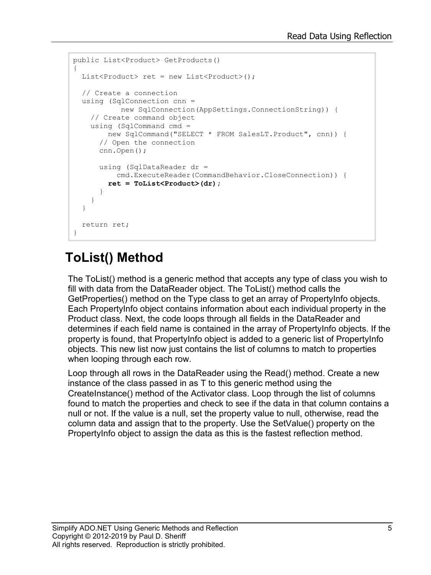```
public List<Product> GetProducts()
{
 List<Product> ret = new List<Product>();
   // Create a connection
   using (SqlConnection cnn = 
           new SqlConnection(AppSettings.ConnectionString)) {
     // Create command object
     using (SqlCommand cmd = 
        new SqlCommand("SELECT * FROM SalesLT.Product", cnn)) {
       // Open the connection
       cnn.Open();
       using (SqlDataReader dr =
          cmd.ExecuteReader(CommandBehavior.CloseConnection)) {
         ret = ToList<Product>(dr);
       }
     }
   }
   return ret;
}
```
#### **ToList() Method**

The ToList() method is a generic method that accepts any type of class you wish to fill with data from the DataReader object. The ToList() method calls the GetProperties() method on the Type class to get an array of PropertyInfo objects. Each PropertyInfo object contains information about each individual property in the Product class. Next, the code loops through all fields in the DataReader and determines if each field name is contained in the array of PropertyInfo objects. If the property is found, that PropertyInfo object is added to a generic list of PropertyInfo objects. This new list now just contains the list of columns to match to properties when looping through each row.

Loop through all rows in the DataReader using the Read() method. Create a new instance of the class passed in as T to this generic method using the CreateInstance() method of the Activator class. Loop through the list of columns found to match the properties and check to see if the data in that column contains a null or not. If the value is a null, set the property value to null, otherwise, read the column data and assign that to the property. Use the SetValue() property on the PropertyInfo object to assign the data as this is the fastest reflection method.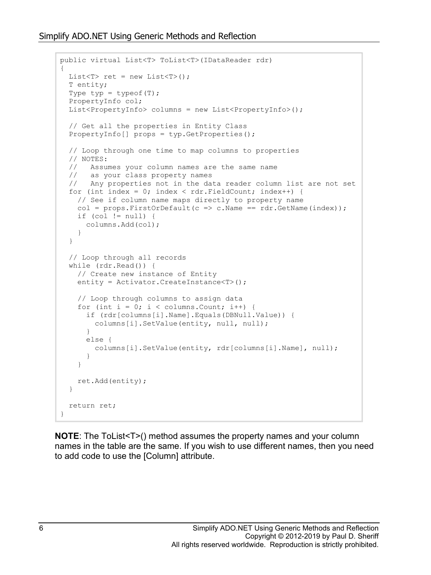```
public virtual List<T> ToList<T>(IDataReader rdr)
{
  List<T> ret = new List < T> ();
   T entity;
  Type typ = typeof(T);
   PropertyInfo col;
   List<PropertyInfo> columns = new List<PropertyInfo>();
   // Get all the properties in Entity Class
   PropertyInfo[] props = typ.GetProperties();
   // Loop through one time to map columns to properties
  // NOTES:<br>// Assu
  // Assumes your column names are the same name<br>// as your class property names
  // as your class property names<br>// Any properties not in the da
      Any properties not in the data reader column list are not set
  for (int index = 0; index < rdr. FieldCount; index++) {
     // See if column name maps directly to property name
    col = props.FirstOrDefault(c => c.Name == rdr.GetName(index));
    if (col != null) {
       columns.Add(col);
     }
   }
   // Loop through all records
   while (rdr.Read()) {
     // Create new instance of Entity
     entity = Activator.CreateInstance<T>();
     // Loop through columns to assign data
    for (int i = 0; i < columns. Count; i++) {
       if (rdr[columns[i].Name].Equals(DBNull.Value)) {
        columns[i].SetValue(entity, null, null);
       }
       else {
         columns[i].SetValue(entity, rdr[columns[i].Name], null);
 }
     }
     ret.Add(entity);
   }
   return ret;
}
```
**NOTE:** The ToList<T>() method assumes the property names and your column names in the table are the same. If you wish to use different names, then you need to add code to use the [Column] attribute.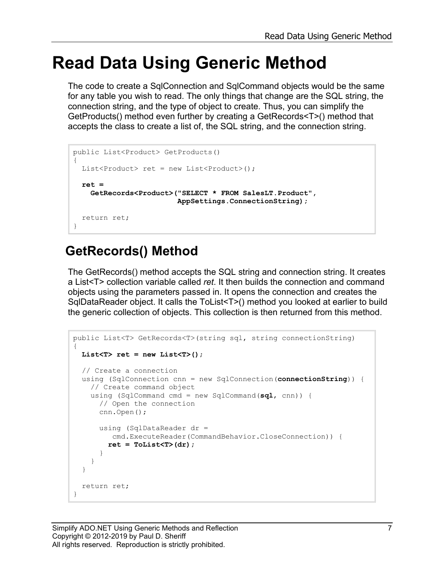### **Read Data Using Generic Method**

The code to create a SqlConnection and SqlCommand objects would be the same for any table you wish to read. The only things that change are the SQL string, the connection string, and the type of object to create. Thus, you can simplify the GetProducts() method even further by creating a GetRecords<T>() method that accepts the class to create a list of, the SQL string, and the connection string.

```
public List<Product> GetProducts()
{
 List<Product> ret = new List<Product>();
  ret = 
     GetRecords<Product>("SELECT * FROM SalesLT.Product",
                          AppSettings.ConnectionString);
   return ret;
}
```
#### **GetRecords() Method**

The GetRecords() method accepts the SQL string and connection string. It creates a List<T> collection variable called *ret*. It then builds the connection and command objects using the parameters passed in. It opens the connection and creates the SqlDataReader object. It calls the ToList<T>() method you looked at earlier to build the generic collection of objects. This collection is then returned from this method.

```
public List<T> GetRecords<T>(string sql, string connectionString)
{
   List<T> ret = new List<T>();
   // Create a connection
   using (SqlConnection cnn = new SqlConnection(connectionString)) {
     // Create command object
     using (SqlCommand cmd = new SqlCommand(sql, cnn)) {
       // Open the connection
       cnn.Open();
       using (SqlDataReader dr = 
         cmd.ExecuteReader(CommandBehavior.CloseConnection)) {
        ret = ToList<T>(dr);
       }
     }
   }
   return ret;
}
```